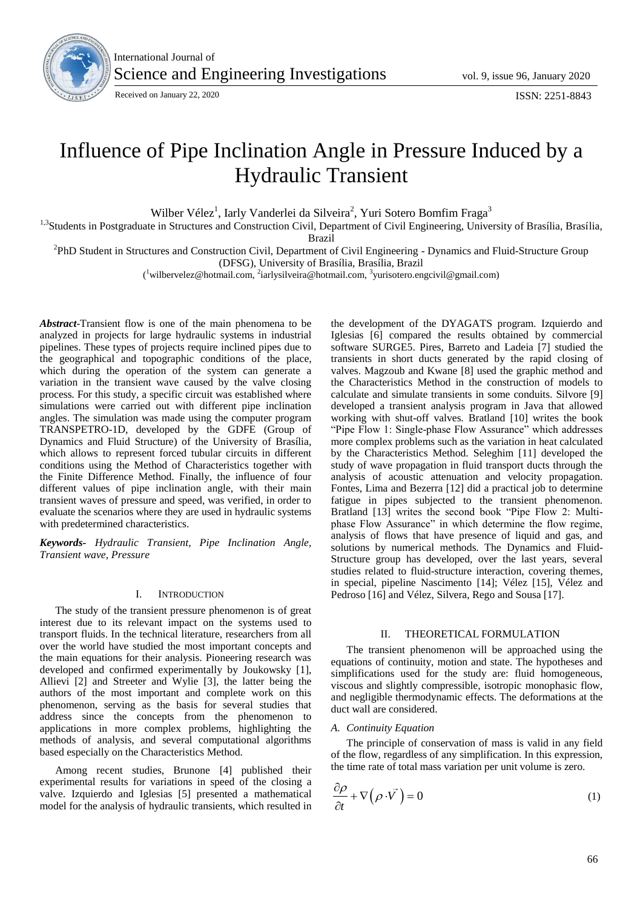

International Journal of Science and Engineering Investigations vol. 9, issue 96, January 2020

# Influence of Pipe Inclination Angle in Pressure Induced by a Hydraulic Transient

Wilber Vélez<sup>1</sup>, Iarly Vanderlei da Silveira<sup>2</sup>, Yuri Sotero Bomfim Fraga<sup>3</sup>

<sup>1,3</sup> Students in Postgraduate in Structures and Construction Civil, Department of Civil Engineering, University of Brasília, Brasília,

Brazil

<sup>2</sup>PhD Student in Structures and Construction Civil, Department of Civil Engineering - Dynamics and Fluid-Structure Group (DFSG), University of Brasília, Brasília, Brazil

(<sup>1</sup>wilbervelez@hotmail.com, <sup>2</sup>iarlysilveira@hotmail.com, <sup>3</sup>yurisotero.engcivil@gmail.com)

*Abstract*-Transient flow is one of the main phenomena to be analyzed in projects for large hydraulic systems in industrial pipelines. These types of projects require inclined pipes due to the geographical and topographic conditions of the place, which during the operation of the system can generate a variation in the transient wave caused by the valve closing process. For this study, a specific circuit was established where simulations were carried out with different pipe inclination angles. The simulation was made using the computer program TRANSPETRO-1D, developed by the GDFE (Group of Dynamics and Fluid Structure) of the University of Brasília, which allows to represent forced tubular circuits in different conditions using the Method of Characteristics together with the Finite Difference Method. Finally, the influence of four different values of pipe inclination angle, with their main transient waves of pressure and speed, was verified, in order to evaluate the scenarios where they are used in hydraulic systems with predetermined characteristics.

*Keywords- Hydraulic Transient, Pipe Inclination Angle, Transient wave, Pressure*

#### I. INTRODUCTION

The study of the transient pressure phenomenon is of great interest due to its relevant impact on the systems used to transport fluids. In the technical literature, researchers from all over the world have studied the most important concepts and the main equations for their analysis. Pioneering research was developed and confirmed experimentally by Joukowsky [1], Allievi [2] and Streeter and Wylie [3], the latter being the authors of the most important and complete work on this phenomenon, serving as the basis for several studies that address since the concepts from the phenomenon to applications in more complex problems, highlighting the methods of analysis, and several computational algorithms based especially on the Characteristics Method.

Among recent studies, Brunone [4] published their experimental results for variations in speed of the closing a valve. Izquierdo and Iglesias [5] presented a mathematical model for the analysis of hydraulic transients, which resulted in

the development of the DYAGATS program. Izquierdo and Iglesias [6] compared the results obtained by commercial software SURGE5. Pires, Barreto and Ladeia [7] studied the transients in short ducts generated by the rapid closing of valves. Magzoub and Kwane [8] used the graphic method and the Characteristics Method in the construction of models to calculate and simulate transients in some conduits. Silvore [9] developed a transient analysis program in Java that allowed working with shut-off valves. Bratland [10] writes the book "Pipe Flow 1: Single-phase Flow Assurance" which addresses more complex problems such as the variation in heat calculated by the Characteristics Method. Seleghim [11] developed the study of wave propagation in fluid transport ducts through the analysis of acoustic attenuation and velocity propagation. Fontes, Lima and Bezerra [12] did a practical job to determine fatigue in pipes subjected to the transient phenomenon. Bratland [13] writes the second book "Pipe Flow 2: Multiphase Flow Assurance" in which determine the flow regime, analysis of flows that have presence of liquid and gas, and solutions by numerical methods. The Dynamics and Fluid-Structure group has developed, over the last years, several studies related to fluid-structure interaction, covering themes, in special, pipeline Nascimento [14]; Vélez [15], Vélez and Pedroso [16] and Vélez, Silvera, Rego and Sousa [17].

## II. THEORETICAL FORMULATION

The transient phenomenon will be approached using the equations of continuity, motion and state. The hypotheses and simplifications used for the study are: fluid homogeneous, viscous and slightly compressible, isotropic monophasic flow, and negligible thermodynamic effects. The deformations at the duct wall are considered.

#### *A. Continuity Equation*

The principle of conservation of mass is valid in any field of the flow, regardless of any simplification. In this expression, the time rate of total mass variation per unit volume is zero.

$$
\frac{\partial \rho}{\partial t} + \nabla (\rho \cdot \vec{V}) = 0 \tag{1}
$$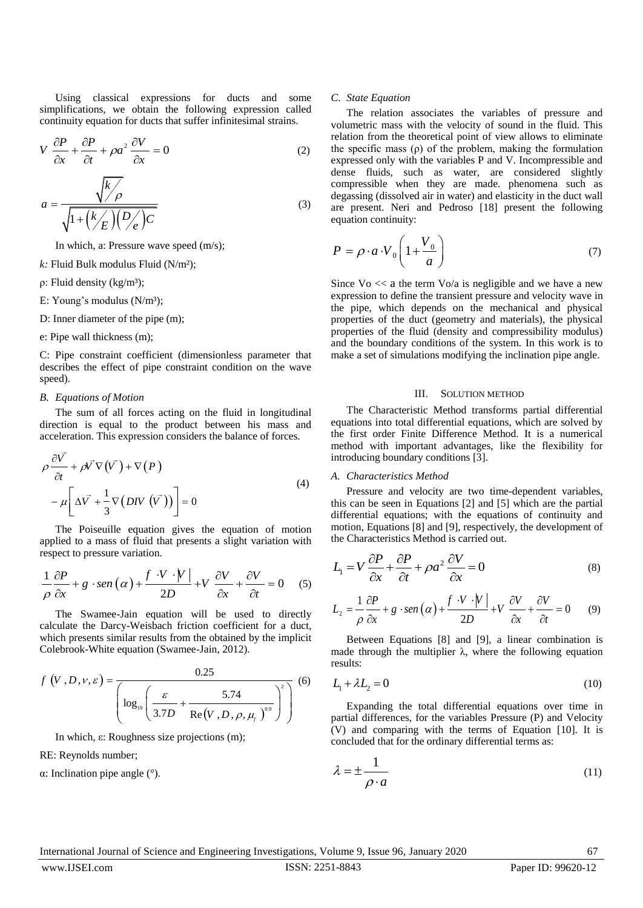Using classical expressions for ducts and some simplifications, we obtain the following expression called continuity equation for ducts that suffer infinitesimal strains.

$$
V \frac{\partial P}{\partial x} + \frac{\partial P}{\partial t} + \rho a^2 \frac{\partial V}{\partial x} = 0
$$
 (2)

$$
a = \frac{\sqrt{k/\rho}}{\sqrt{1 + \left(\frac{k}{E}\right)\left(\frac{D}{\rho}\right)c}}
$$
\n(3)

In which, a: Pressure wave speed (m/s);

*k:* Fluid Bulk modulus Fluid (N/m²);

ρ: Fluid density (kg/m<sup>3</sup>);

E: Young's modulus  $(N/m<sup>3</sup>)$ ;

D: Inner diameter of the pipe (m);

# e: Pipe wall thickness (m);

C: Pipe constraint coefficient (dimensionless parameter that describes the effect of pipe constraint condition on the wave speed).

#### *B. Equations of Motion*

The sum of all forces acting on the fluid in longitudinal direction is equal to the product between his mass and acceleration. This expression considers the balance of forces.

$$
\rho \frac{\partial \vec{V}}{\partial t} + \rho \vec{V} \nabla (\vec{V}) + \nabla (P)
$$
  
- 
$$
\mu \left[ \Delta \vec{V} + \frac{1}{3} \nabla (D \vec{V} (\vec{V})) \right] = 0
$$
 (4)

The Poiseuille equation gives the equation of motion applied to a mass of fluid that presents a slight variation with

respect to pressure variation.  
\n
$$
\frac{1}{\rho} \frac{\partial P}{\partial x} + g \cdot \text{sen}(\alpha) + \frac{f \cdot V \cdot |V|}{2D} + V \frac{\partial V}{\partial x} + \frac{\partial V}{\partial t} = 0 \quad (5)
$$

The Swamee-Jain equation will be used to directly calculate the Darcy-Weisbach friction coefficient for a duct, which presents similar results from the obtained by the implicit Colebrook-White equation (Swamee-Jain, 2012).

$$
f(V, D, V, \varepsilon) = \frac{0.25}{\left(\log_{10}\left(\frac{\varepsilon}{3.7D} + \frac{5.74}{\text{Re}(V, D, \rho, \mu_f)^{0.9}}\right)^2\right)}
$$
(6)

In which, ε: Roughness size projections (m);

RE: Reynolds number;

α: Inclination pipe angle (°).

#### *C. State Equation*

The relation associates the variables of pressure and volumetric mass with the velocity of sound in the fluid. This relation from the theoretical point of view allows to eliminate the specific mass (ρ) of the problem, making the formulation expressed only with the variables P and V. Incompressible and dense fluids, such as water, are considered slightly compressible when they are made. phenomena such as degassing (dissolved air in water) and elasticity in the duct wall are present. Neri and Pedroso [18] present the following equation continuity:

$$
P = \rho \cdot a \cdot V_0 \left( 1 + \frac{V_0}{a} \right) \tag{7}
$$

Since  $\sqrt{v}$   $<<$  a the term  $\sqrt{v/a}$  is negligible and we have a new expression to define the transient pressure and velocity wave in the pipe, which depends on the mechanical and physical properties of the duct (geometry and materials), the physical properties of the fluid (density and compressibility modulus) and the boundary conditions of the system. In this work is to make a set of simulations modifying the inclination pipe angle.

# III. SOLUTION METHOD

The Characteristic Method transforms partial differential equations into total differential equations, which are solved by the first order Finite Difference Method. It is a numerical method with important advantages, like the flexibility for introducing boundary conditions [3].

#### *A. Characteristics Method*

Pressure and velocity are two time-dependent variables, this can be seen in Equations [2] and [5] which are the partial differential equations; with the equations of continuity and motion, Equations [8] and [9], respectively, the development of the Characteristics Method is carried out.

$$
L_1 = V \frac{\partial P}{\partial x} + \frac{\partial P}{\partial t} + \rho a^2 \frac{\partial V}{\partial x} = 0
$$
 (8)

$$
L_2 = \frac{1}{\rho} \frac{\partial P}{\partial x} + g \cdot \text{sen}\left(\alpha\right) + \frac{f \cdot V \cdot |V|}{2D} + V \frac{\partial V}{\partial x} + \frac{\partial V}{\partial t} = 0 \tag{9}
$$

Between Equations [8] and [9], a linear combination is made through the multiplier  $\lambda$ , where the following equation results:

$$
L_1 + \lambda L_2 = 0 \tag{10}
$$

Expanding the total differential equations over time in partial differences, for the variables Pressure (P) and Velocity (V) and comparing with the terms of Equation [10]. It is concluded that for the ordinary differential terms as:

$$
\lambda = \pm \frac{1}{\rho \cdot a} \tag{11}
$$

International Journal of Science and Engineering Investigations, Volume 9, Issue 96, January 2020 67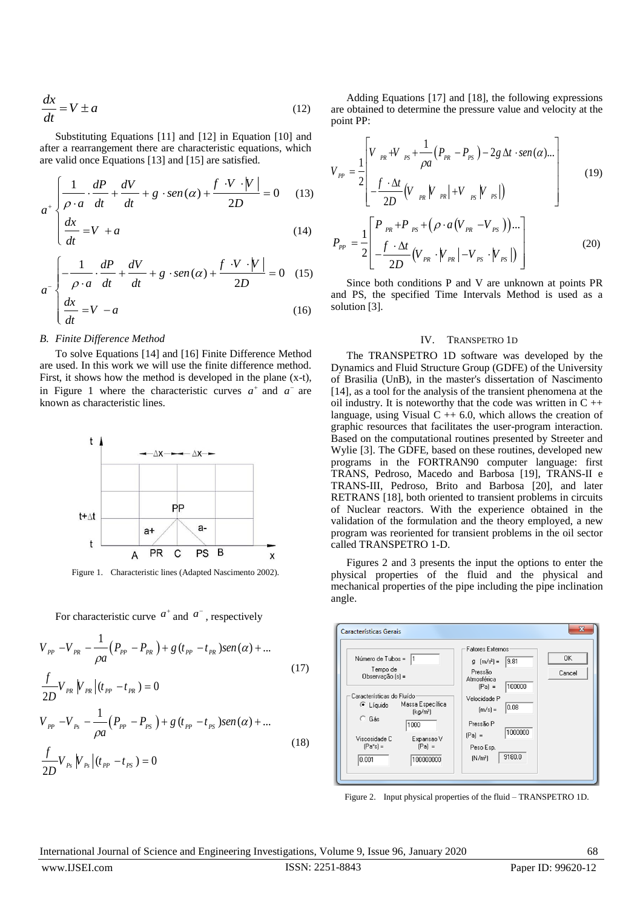$$
\frac{dx}{dt} = V \pm a \tag{12}
$$

Substituting Equations [11] and [12] in Equation [10] and after a rearrangement there are characteristic equations, which

are valid once Equations [13] and [15] are satisfied.  
\n
$$
a^{+}\begin{cases}\n\frac{1}{\rho \cdot a} \cdot \frac{dP}{dt} + \frac{dV}{dt} + g \cdot \text{sen}(\alpha) + \frac{f \cdot V \cdot |V|}{2D} = 0\n\end{cases}
$$
\n(13)

$$
\begin{cases}\n\rho \cdot a & dt \quad dt \\
\frac{dx}{dt} = V + a\n\end{cases}
$$
\n(14)

$$
\begin{vmatrix} dt & \frac{1}{2} & \frac{dP}{dt} & \frac{dV}{dt} + g \cdot \text{sen}(\alpha) + \frac{f \cdot V \cdot |V|}{2D} = 0 & (15) \end{vmatrix}
$$
  

$$
\begin{vmatrix} \frac{dx}{dt} = V - a & (16) \end{vmatrix}
$$

$$
\left(\frac{dx}{dt} = V - a\right) \tag{16}
$$

### *B. Finite Difference Method*

To solve Equations [14] and [16] Finite Difference Method are used. In this work we will use the finite difference method. First, it shows how the method is developed in the plane (x-t), in Figure 1 where the characteristic curves  $a^+$  and  $a^-$  are known as characteristic lines.



Figure 1. Characteristic lines (Adapted Nascimento 2002).

For characteristic curve  $a^+$  and  $a^-$ , respectively

$$
V_{pp} - V_{PR} - \frac{1}{\rho a} (P_{pp} - P_{PR}) + g (t_{pp} - t_{PR}) \text{sen}(\alpha) + ...
$$
  
\n
$$
\frac{f}{2D} V_{PR} V_{PR} | (t_{pp} - t_{PR}) = 0
$$
  
\n
$$
V_{pp} - V_{Ps} - \frac{1}{\rho a} (P_{pp} - P_{PS}) + g (t_{pp} - t_{PS}) \text{sen}(\alpha) + ...
$$
  
\n
$$
\frac{f}{2D} V_{Ps} V_{Ps} | (t_{pp} - t_{PS}) = 0
$$
\n(18)

Adding Equations [17] and [18], the following expressions are obtained to determine the pressure value and velocity at the point PP:

point PP:  
\n
$$
V_{PP} = \frac{1}{2} \begin{bmatrix} V_{PR} + V_{PS} + \frac{1}{\rho a} (P_{PR} - P_{PS}) - 2g \Delta t \cdot sen(\alpha) ... \\ -\frac{f \cdot \Delta t}{2D} (V_{PR} |V_{PR}| + V_{PS} |V_{PS}|) \end{bmatrix}
$$
\n(19)  
\n
$$
P_{PP} = \frac{1}{2} \begin{bmatrix} P_{PR} + P_{PS} + (\rho \cdot a (V_{PR} - V_{PS})) ... \\ -\frac{f \cdot \Delta t}{2D} (V_{PR} |V_{PR}| - V_{PS} |V_{PS}|) \end{bmatrix}
$$
\n(20)

Since both conditions P and V are unknown at points PR and PS, the specified Time Intervals Method is used as a solution [3].

#### IV. TRANSPETRO 1D

The TRANSPETRO 1D software was developed by the Dynamics and Fluid Structure Group (GDFE) of the University of Brasilia (UnB), in the master's dissertation of Nascimento [14], as a tool for the analysis of the transient phenomena at the oil industry. It is noteworthy that the code was written in  $C + \mathbf{+}$ language, using Visual  $C + 6.0$ , which allows the creation of graphic resources that facilitates the user-program interaction. Based on the computational routines presented by Streeter and Wylie [3]. The GDFE, based on these routines, developed new programs in the FORTRAN90 computer language: first TRANS, Pedroso, Macedo and Barbosa [19], TRANS-II e TRANS-III, Pedroso, Brito and Barbosa [20], and later RETRANS [18], both oriented to transient problems in circuits of Nuclear reactors. With the experience obtained in the validation of the formulation and the theory employed, a new program was reoriented for transient problems in the oil sector called TRANSPETRO 1-D.

Figures 2 and 3 presents the input the options to enter the physical properties of the fluid and the physical and mechanical properties of the pipe including the pipe inclination angle.



Figure 2. Input physical properties of the fluid – TRANSPETRO 1D.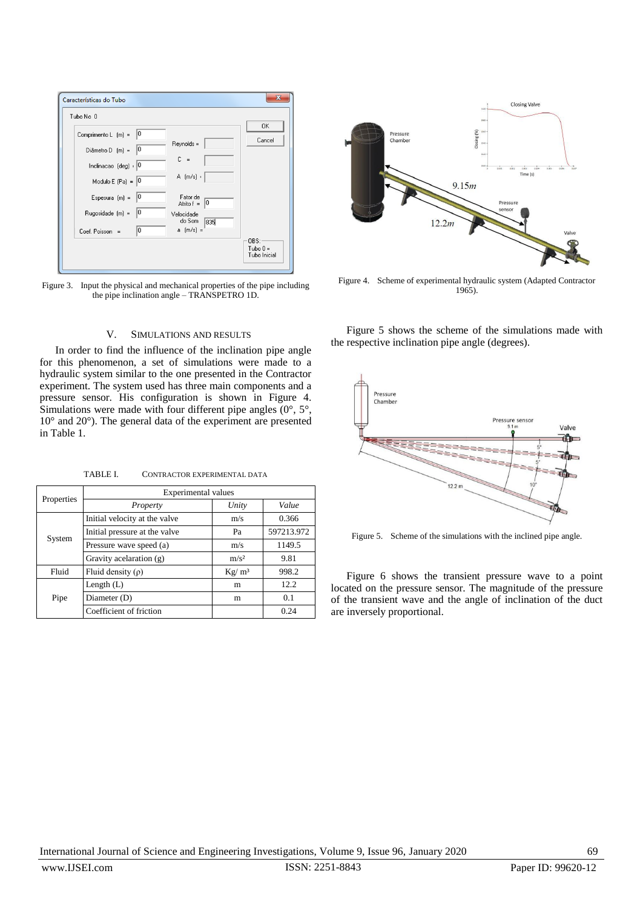| Características do Tubo                                                                 | $\mathbf{x}$       |
|-----------------------------------------------------------------------------------------|--------------------|
| Tubo No 0                                                                               |                    |
| 10<br>Comprimento L [m] =                                                               | 0K<br>Cancel       |
| Reynolds =<br>Diâmetro D $[m] =  0 $                                                    |                    |
| $C =$<br>Inclinacao (deg) : 0                                                           |                    |
| $A [m/s]$ :<br>Modulo E $(Pa) = 0$                                                      |                    |
| 10<br>Espesura $[m] =$<br>Fator de<br>Atrito $f = \begin{bmatrix} 0 \\ 0 \end{bmatrix}$ |                    |
| 10<br>Rugosidade [m] =<br>Velocidade<br>do Som<br>835                                   |                    |
| a [m/s] =<br>I٥<br>Coef. Poisson =                                                      |                    |
|                                                                                         | OBS:<br>$Tubo 0 =$ |
|                                                                                         | Tubo Inicial       |

Figure 3. Input the physical and mechanical properties of the pipe including the pipe inclination angle – TRANSPETRO 1D.

# V. SIMULATIONS AND RESULTS

In order to find the influence of the inclination pipe angle for this phenomenon, a set of simulations were made to a hydraulic system similar to the one presented in the Contractor experiment. The system used has three main components and a pressure sensor. His configuration is shown in Figure 4. Simulations were made with four different pipe angles  $(0^{\circ}, 5^{\circ})$ , 10° and 20°). The general data of the experiment are presented in Table 1.

TABLE I. CONTRACTOR EXPERIMENTAL DATA

| Properties | Experimental values           |          |            |
|------------|-------------------------------|----------|------------|
|            | Property                      | Unity    | Value      |
| System     | Initial velocity at the valve | m/s      | 0.366      |
|            | Initial pressure at the valve | Pa       | 597213.972 |
|            | Pressure wave speed (a)       | m/s      | 1149.5     |
|            | Gravity acelaration (g)       | $m/s^2$  | 9.81       |
| Fluid      | Fluid density $(\rho)$        | $Kg/m^3$ | 998.2      |
| Pipe       | Length $(L)$                  | m        | 12.2       |
|            | Diameter (D)                  | m        | 0.1        |
|            | Coefficient of friction       |          | 0.24       |



Figure 4. Scheme of experimental hydraulic system (Adapted Contractor 1965).

Figure 5 shows the scheme of the simulations made with the respective inclination pipe angle (degrees).



Figure 5. Scheme of the simulations with the inclined pipe angle.

Figure 6 shows the transient pressure wave to a point located on the pressure sensor. The magnitude of the pressure of the transient wave and the angle of inclination of the duct are inversely proportional.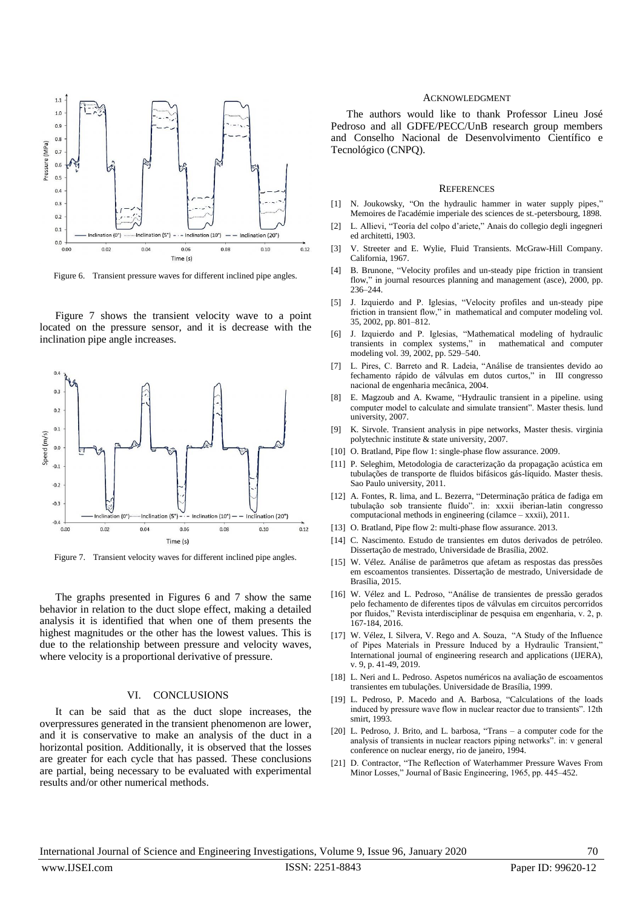

Figure 6. Transient pressure waves for different inclined pipe angles.

Figure 7 shows the transient velocity wave to a point located on the pressure sensor, and it is decrease with the inclination pipe angle increases.



Figure 7. Transient velocity waves for different inclined pipe angles.

The graphs presented in Figures 6 and 7 show the same behavior in relation to the duct slope effect, making a detailed analysis it is identified that when one of them presents the highest magnitudes or the other has the lowest values. This is due to the relationship between pressure and velocity waves, where velocity is a proportional derivative of pressure.

#### VI. CONCLUSIONS

It can be said that as the duct slope increases, the overpressures generated in the transient phenomenon are lower, and it is conservative to make an analysis of the duct in a horizontal position. Additionally, it is observed that the losses are greater for each cycle that has passed. These conclusions are partial, being necessary to be evaluated with experimental results and/or other numerical methods.

#### ACKNOWLEDGMENT

The authors would like to thank Professor Lineu José Pedroso and all GDFE/PECC/UnB research group members and Conselho Nacional de Desenvolvimento Científico e Tecnológico (CNPQ).

#### **REFERENCES**

- [1] N. Joukowsky, "On the hydraulic hammer in water supply pipes," Memoires de l'académie imperiale des sciences de st.-petersbourg, 1898.
- [2] L. Allievi, "Teoría del colpo d'ariete," Anais do collegio degli ingegneri ed architetti, 1903.
- [3] V. Streeter and E. Wylie, Fluid Transients. McGraw-Hill Company. California, 1967.
- [4] B. Brunone, "Velocity profiles and un-steady pipe friction in transient flow," in journal resources planning and management (asce), 2000, pp. 236–244.
- [5] J. Izquierdo and P. Iglesias, "Velocity profiles and un-steady pipe friction in transient flow," in mathematical and computer modeling vol. 35, 2002, pp. 801–812.
- [6] J. Izquierdo and P. Iglesias, "Mathematical modeling of hydraulic transients in complex systems," in mathematical and computer modeling vol. 39, 2002, pp. 529–540.
- [7] L. Pires, C. Barreto and R. Ladeia, "Análise de transientes devido ao fechamento rápido de válvulas em dutos curtos," in III congresso nacional de engenharia mecânica, 2004.
- [8] E. Magzoub and A. Kwame, "Hydraulic transient in a pipeline. using computer model to calculate and simulate transient". Master thesis. lund university, 2007.
- [9] K. Sirvole. Transient analysis in pipe networks, Master thesis. virginia polytechnic institute & state university, 2007.
- [10] O. Bratland, Pipe flow 1: single-phase flow assurance, 2009.
- [11] P. Seleghim, Metodologia de caracterização da propagação acústica em tubulações de transporte de fluidos bifásicos gás-líquido. Master thesis. Sao Paulo university, 2011.
- [12] A. Fontes, R. lima, and L. Bezerra, "Determinação prática de fadiga em tubulação sob transiente fluído". in: xxxii iberian-latin congresso computacional methods in engineering (cilamce – xxxii), 2011.
- [13] O. Bratland, Pipe flow 2: multi-phase flow assurance. 2013.
- [14] C. Nascimento. Estudo de transientes em dutos derivados de petróleo. Dissertação de mestrado, Universidade de Brasília, 2002.
- [15] W. Vélez. Análise de parâmetros que afetam as respostas das pressões em escoamentos transientes. Dissertação de mestrado, Universidade de Brasília, 2015.
- [16] W. Vélez and L. Pedroso, "Análise de transientes de pressão gerados pelo fechamento de diferentes tipos de válvulas em circuitos percorridos por fluidos," Revista interdisciplinar de pesquisa em engenharia, v. 2, p. 167-184, 2016.
- [17] W. Vélez, I. Silvera, V. Rego and A. Souza, "A Study of the Influence of Pipes Materials in Pressure Induced by a Hydraulic Transient,' International journal of engineering research and applications (IJERA), v. 9, p. 41-49, 2019.
- [18] L. Neri and L. Pedroso. Aspetos numéricos na avaliação de escoamentos transientes em tubulações. Universidade de Brasília, 1999.
- [19] L. Pedroso, P. Macedo and A. Barbosa, "Calculations of the loads induced by pressure wave flow in nuclear reactor due to transients". 12th smirt, 1993.
- [20] L. Pedroso, J. Brito, and L. barbosa, "Trans a computer code for the analysis of transients in nuclear reactors piping networks". in: v general conference on nuclear energy, rio de janeiro, 1994.
- [21] D. Contractor, "The Reflection of Waterhammer Pressure Waves From Minor Losses," Journal of Basic Engineering, 1965, pp. 445–452.

International Journal of Science and Engineering Investigations, Volume 9, Issue 96, January 2020 70